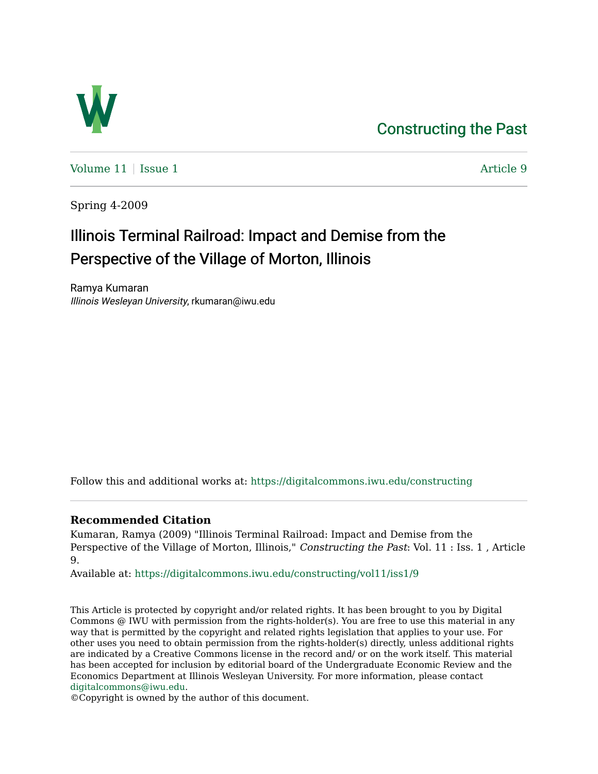## [Constructing the Past](https://digitalcommons.iwu.edu/constructing)



[Volume 11](https://digitalcommons.iwu.edu/constructing/vol11) | [Issue 1](https://digitalcommons.iwu.edu/constructing/vol11/iss1) Article 9

Spring 4-2009

# Illinois Terminal Railroad: Impact and Demise from the Perspective of the Village of Morton, Illinois

Ramya Kumaran Illinois Wesleyan University, rkumaran@iwu.edu

Follow this and additional works at: [https://digitalcommons.iwu.edu/constructing](https://digitalcommons.iwu.edu/constructing?utm_source=digitalcommons.iwu.edu%2Fconstructing%2Fvol11%2Fiss1%2F9&utm_medium=PDF&utm_campaign=PDFCoverPages)

### **Recommended Citation**

Kumaran, Ramya (2009) "Illinois Terminal Railroad: Impact and Demise from the Perspective of the Village of Morton, Illinois," Constructing the Past: Vol. 11 : Iss. 1, Article 9.

Available at: [https://digitalcommons.iwu.edu/constructing/vol11/iss1/9](https://digitalcommons.iwu.edu/constructing/vol11/iss1/9?utm_source=digitalcommons.iwu.edu%2Fconstructing%2Fvol11%2Fiss1%2F9&utm_medium=PDF&utm_campaign=PDFCoverPages)

This Article is protected by copyright and/or related rights. It has been brought to you by Digital Commons @ IWU with permission from the rights-holder(s). You are free to use this material in any way that is permitted by the copyright and related rights legislation that applies to your use. For other uses you need to obtain permission from the rights-holder(s) directly, unless additional rights are indicated by a Creative Commons license in the record and/ or on the work itself. This material has been accepted for inclusion by editorial board of the Undergraduate Economic Review and the Economics Department at Illinois Wesleyan University. For more information, please contact [digitalcommons@iwu.edu.](mailto:digitalcommons@iwu.edu)

©Copyright is owned by the author of this document.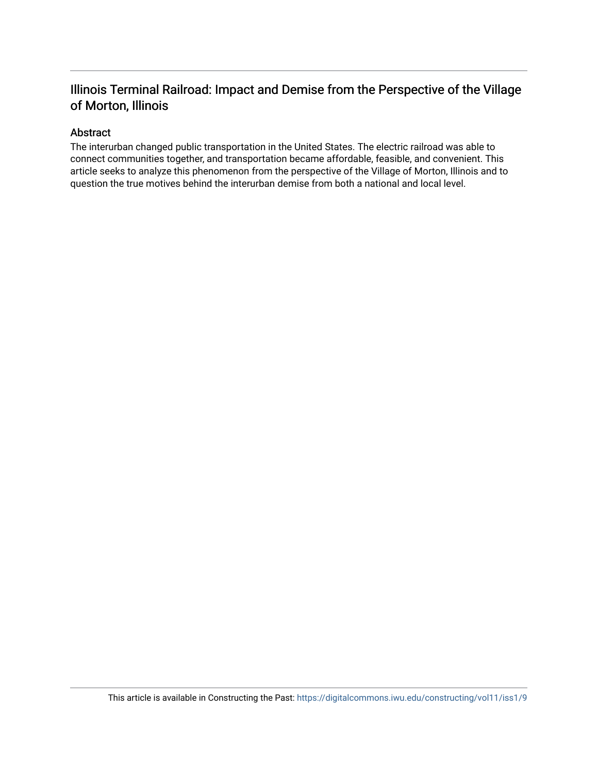### Illinois Terminal Railroad: Impact and Demise from the Perspective of the Village of Morton, Illinois

### Abstract

The interurban changed public transportation in the United States. The electric railroad was able to connect communities together, and transportation became affordable, feasible, and convenient. This article seeks to analyze this phenomenon from the perspective of the Village of Morton, Illinois and to question the true motives behind the interurban demise from both a national and local level.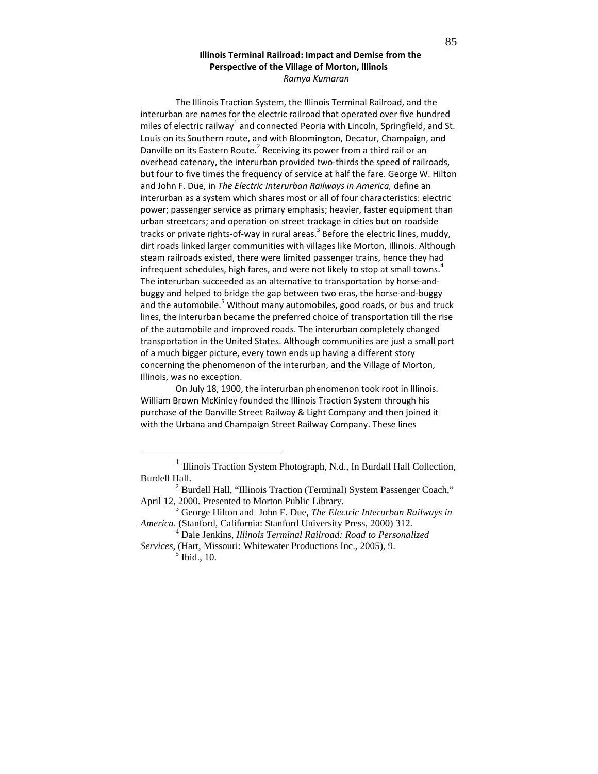#### Illinois Terminal Railroad: Impact and Demise from the Perspective of the Village of Morton, Illinois Ramya Kumaran

The Illinois Traction System, the Illinois Terminal Railroad, and the interurban are names for the electric railroad that operated over five hundred miles of electric railway<sup>1</sup> and connected Peoria with Lincoln, Springfield, and St. Louis on its Southern route, and with Bloomington, Decatur, Champaign, and Danville on its Eastern Route.<sup>2</sup> Receiving its power from a third rail or an overhead catenary, the interurban provided two-thirds the speed of railroads, but four to five times the frequency of service at half the fare. George W. Hilton and John F. Due, in The Electric Interurban Railways in America, define an interurban as a system which shares most or all of four characteristics: electric power; passenger service as primary emphasis; heavier, faster equipment than urban streetcars; and operation on street trackage in cities but on roadside tracks or private rights-of-way in rural areas.<sup>3</sup> Before the electric lines, muddy, dirt roads linked larger communities with villages like Morton, Illinois. Although steam railroads existed, there were limited passenger trains, hence they had infrequent schedules, high fares, and were not likely to stop at small towns.<sup>4</sup> The interurban succeeded as an alternative to transportation by horse-andbuggy and helped to bridge the gap between two eras, the horse-and-buggy and the automobile.<sup>5</sup> Without many automobiles, good roads, or bus and truck lines, the interurban became the preferred choice of transportation till the rise of the automobile and improved roads. The interurban completely changed transportation in the United States. Although communities are just a small part of a much bigger picture, every town ends up having a different story concerning the phenomenon of the interurban, and the Village of Morton, Illinois, was no exception.

On July 18, 1900, the interurban phenomenon took root in Illinois. William Brown McKinley founded the Illinois Traction System through his purchase of the Danville Street Railway & Light Company and then joined it with the Urbana and Champaign Street Railway Company. These lines

<sup>&</sup>lt;sup>1</sup> Illinois Traction System Photograph, N.d., In Burdall Hall Collection, Burdell Hall.

<sup>&</sup>lt;sup>2</sup> Burdell Hall, "Illinois Traction (Terminal) System Passenger Coach," April 12, 2000. Presented to Morton Public Library.

<sup>3</sup> George Hilton and John F. Due, *The Electric Interurban Railways in America*. (Stanford, California: Stanford University Press, 2000) 312.

<sup>4</sup> Dale Jenkins, *Illinois Terminal Railroad: Road to Personalized Services*, (Hart, Missouri: Whitewater Productions Inc., 2005), 9.

<sup>5</sup> Ibid., 10.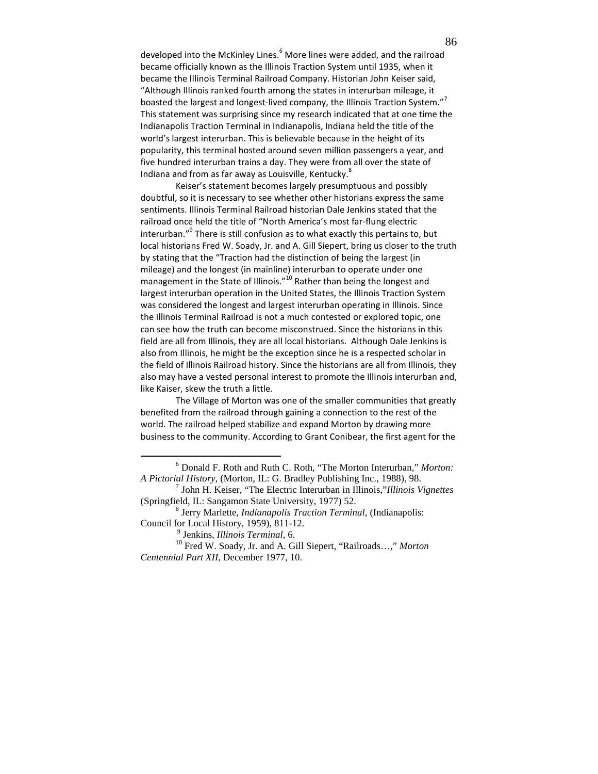developed into the McKinley Lines.<sup>6</sup> More lines were added, and the railroad became officially known as the Illinois Traction System until 1935, when it became the Illinois Terminal Railroad Company. Historian John Keiser said, "Although Illinois ranked fourth among the states in interurban mileage, it boasted the largest and longest-lived company, the Illinois Traction System."<sup>7</sup> This statement was surprising since my research indicated that at one time the Indianapolis Traction Terminal in Indianapolis, Indiana held the title of the world's largest interurban. This is believable because in the height of its popularity, this terminal hosted around seven million passengers a year, and five hundred interurban trains a day. They were from all over the state of Indiana and from as far away as Louisville, Kentucky. ${}^{8}$ 

Keiser's statement becomes largely presumptuous and possibly doubtful, so it is necessary to see whether other historians express the same sentiments. Illinois Terminal Railroad historian Dale Jenkins stated that the railroad once held the title of "North America's most far-flung electric interurban."<sup>9</sup> There is still confusion as to what exactly this pertains to, but local historians Fred W. Soady, Jr. and A. Gill Siepert, bring us closer to the truth by stating that the "Traction had the distinction of being the largest (in mileage) and the longest (in mainline) interurban to operate under one management in the State of Illinois." $10^{\circ}$  Rather than being the longest and largest interurban operation in the United States, the Illinois Traction System was considered the longest and largest interurban operating in Illinois. Since the Illinois Terminal Railroad is not a much contested or explored topic, one can see how the truth can become misconstrued. Since the historians in this field are all from Illinois, they are all local historians. Although Dale Jenkins is also from Illinois, he might be the exception since he is a respected scholar in the field of Illinois Railroad history. Since the historians are all from Illinois, they also may have a vested personal interest to promote the Illinois interurban and, like Kaiser, skew the truth a little.

The Village of Morton was one of the smaller communities that greatly benefited from the railroad through gaining a connection to the rest of the world. The railroad helped stabilize and expand Morton by drawing more business to the community. According to Grant Conibear, the first agent for the

 $\overline{a}$ 

<sup>6</sup> Donald F. Roth and Ruth C. Roth, "The Morton Interurban," *Morton: A Pictorial History*, (Morton, IL: G. Bradley Publishing Inc., 1988), 98.

<sup>7</sup> John H. Keiser, "The Electric Interurban in Illinois,"*Illinois Vignettes* (Springfield, IL: Sangamon State University, 1977) 52.

<sup>8</sup> Jerry Marlette, *Indianapolis Traction Terminal*, (Indianapolis: Council for Local History, 1959), 811-12.

<sup>9</sup> Jenkins, *Illinois Terminal*, 6.

<sup>10</sup> Fred W. Soady, Jr. and A. Gill Siepert, "Railroads…," *Morton Centennial Part XII*, December 1977, 10.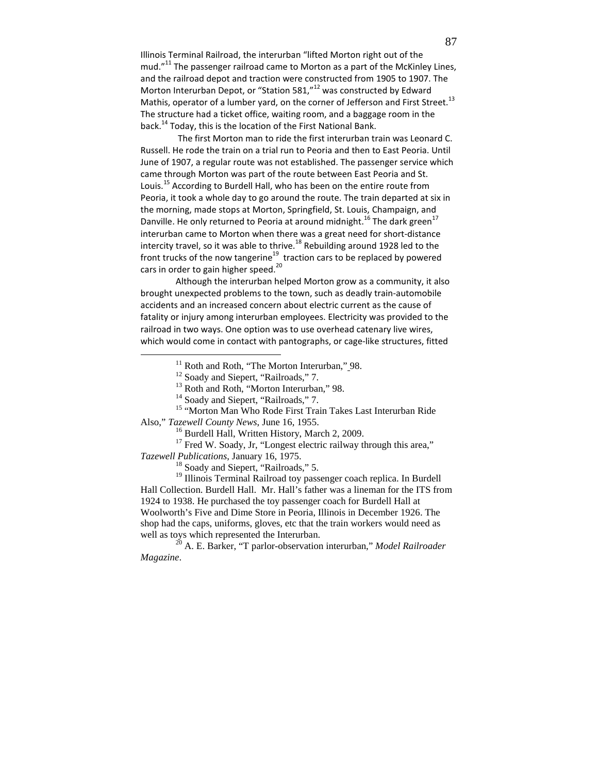Illinois Terminal Railroad, the interurban "lifted Morton right out of the mud. $"^{11}$  The passenger railroad came to Morton as a part of the McKinley Lines, and the railroad depot and traction were constructed from 1905 to 1907. The Morton Interurban Depot, or "Station 581,"<sup>12</sup> was constructed by Edward Mathis, operator of a lumber yard, on the corner of Jefferson and First Street.<sup>13</sup> The structure had a ticket office, waiting room, and a baggage room in the back.<sup>14</sup> Today, this is the location of the First National Bank.

 The first Morton man to ride the first interurban train was Leonard C. Russell. He rode the train on a trial run to Peoria and then to East Peoria. Until June of 1907, a regular route was not established. The passenger service which came through Morton was part of the route between East Peoria and St. Louis.<sup>15</sup> According to Burdell Hall, who has been on the entire route from Peoria, it took a whole day to go around the route. The train departed at six in the morning, made stops at Morton, Springfield, St. Louis, Champaign, and Danville. He only returned to Peoria at around midnight.<sup>16</sup> The dark green<sup>17</sup> interurban came to Morton when there was a great need for short-distance intercity travel, so it was able to thrive.<sup>18</sup> Rebuilding around 1928 led to the front trucks of the now tangerine<sup>19</sup> traction cars to be replaced by powered cars in order to gain higher speed.<sup>20</sup>

Although the interurban helped Morton grow as a community, it also brought unexpected problems to the town, such as deadly train-automobile accidents and an increased concern about electric current as the cause of fatality or injury among interurban employees. Electricity was provided to the railroad in two ways. One option was to use overhead catenary live wires, which would come in contact with pantographs, or cage-like structures, fitted

<sup>16</sup> Burdell Hall, Written History, March 2, 2009.

<sup>17</sup> Fred W. Soady, Jr, "Longest electric railway through this area,"

*Tazewell Publications*, January 16, 1975.

-

<sup>18</sup> Soady and Siepert, "Railroads," 5.

<sup>19</sup> Illinois Terminal Railroad toy passenger coach replica. In Burdell Hall Collection. Burdell Hall. Mr. Hall's father was a lineman for the ITS from 1924 to 1938. He purchased the toy passenger coach for Burdell Hall at Woolworth's Five and Dime Store in Peoria, Illinois in December 1926. The shop had the caps, uniforms, gloves, etc that the train workers would need as well as toys which represented the Interurban.

<sup>20</sup> A. E. Barker, "T parlor-observation interurban," *Model Railroader Magazine*.

<sup>&</sup>lt;sup>11</sup> Roth and Roth, "The Morton Interurban," 98.

<sup>&</sup>lt;sup>12</sup> Soady and Siepert, "Railroads," 7.

<sup>&</sup>lt;sup>13</sup> Roth and Roth, "Morton Interurban," 98.

<sup>&</sup>lt;sup>14</sup> Soady and Siepert, "Railroads," 7.

<sup>&</sup>lt;sup>15</sup> "Morton Man Who Rode First Train Takes Last Interurban Ride Also," *Tazewell County News*, June 16, 1955.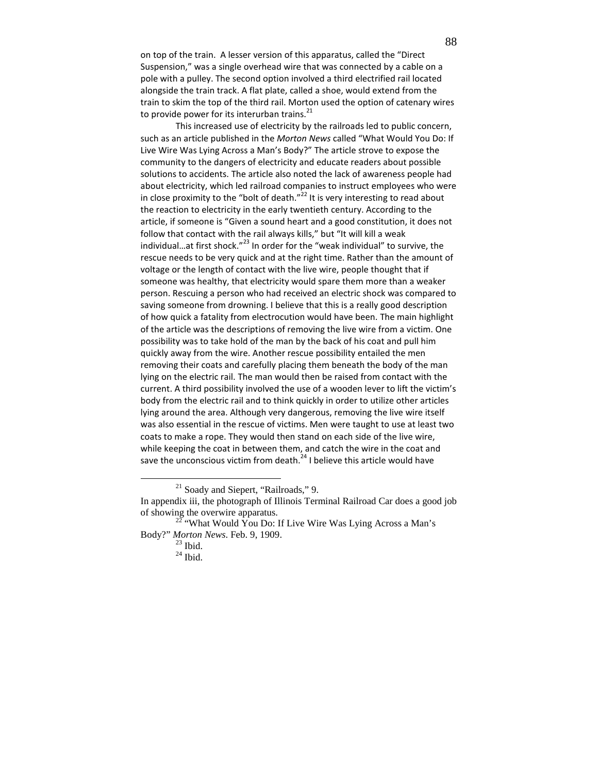on top of the train. A lesser version of this apparatus, called the "Direct Suspension," was a single overhead wire that was connected by a cable on a pole with a pulley. The second option involved a third electrified rail located alongside the train track. A flat plate, called a shoe, would extend from the train to skim the top of the third rail. Morton used the option of catenary wires to provide power for its interurban trains. $^{21}$ 

This increased use of electricity by the railroads led to public concern, such as an article published in the Morton News called "What Would You Do: If Live Wire Was Lying Across a Man's Body?" The article strove to expose the community to the dangers of electricity and educate readers about possible solutions to accidents. The article also noted the lack of awareness people had about electricity, which led railroad companies to instruct employees who were in close proximity to the "bolt of death."<sup>22</sup> It is very interesting to read about the reaction to electricity in the early twentieth century. According to the article, if someone is "Given a sound heart and a good constitution, it does not follow that contact with the rail always kills," but "It will kill a weak individual...at first shock." $^{23}$  In order for the "weak individual" to survive, the rescue needs to be very quick and at the right time. Rather than the amount of voltage or the length of contact with the live wire, people thought that if someone was healthy, that electricity would spare them more than a weaker person. Rescuing a person who had received an electric shock was compared to saving someone from drowning. I believe that this is a really good description of how quick a fatality from electrocution would have been. The main highlight of the article was the descriptions of removing the live wire from a victim. One possibility was to take hold of the man by the back of his coat and pull him quickly away from the wire. Another rescue possibility entailed the men removing their coats and carefully placing them beneath the body of the man lying on the electric rail. The man would then be raised from contact with the current. A third possibility involved the use of a wooden lever to lift the victim's body from the electric rail and to think quickly in order to utilize other articles lying around the area. Although very dangerous, removing the live wire itself was also essential in the rescue of victims. Men were taught to use at least two coats to make a rope. They would then stand on each side of the live wire, while keeping the coat in between them, and catch the wire in the coat and save the unconscious victim from death.<sup>24</sup> I believe this article would have

<sup>21</sup> Soady and Siepert, "Railroads," 9.

 $\overline{a}$ 

In appendix iii, the photograph of Illinois Terminal Railroad Car does a good job of showing the overwire apparatus.

 $22$  "What Would You Do: If Live Wire Was Lying Across a Man's Body?" *Morton News*. Feb. 9, 1909.

 $^{23}$  Ibid.

 $24$  Ibid.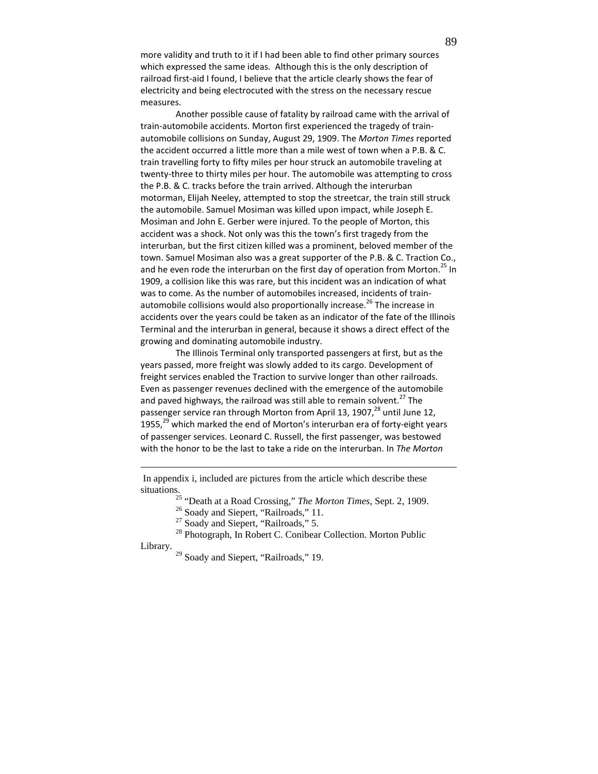more validity and truth to it if I had been able to find other primary sources which expressed the same ideas. Although this is the only description of railroad first-aid I found, I believe that the article clearly shows the fear of electricity and being electrocuted with the stress on the necessary rescue measures.

Another possible cause of fatality by railroad came with the arrival of train-automobile accidents. Morton first experienced the tragedy of trainautomobile collisions on Sunday, August 29, 1909. The Morton Times reported the accident occurred a little more than a mile west of town when a P.B. & C. train travelling forty to fifty miles per hour struck an automobile traveling at twenty-three to thirty miles per hour. The automobile was attempting to cross the P.B. & C. tracks before the train arrived. Although the interurban motorman, Elijah Neeley, attempted to stop the streetcar, the train still struck the automobile. Samuel Mosiman was killed upon impact, while Joseph E. Mosiman and John E. Gerber were injured. To the people of Morton, this accident was a shock. Not only was this the town's first tragedy from the interurban, but the first citizen killed was a prominent, beloved member of the town. Samuel Mosiman also was a great supporter of the P.B. & C. Traction Co., and he even rode the interurban on the first day of operation from Morton.<sup>25</sup> In 1909, a collision like this was rare, but this incident was an indication of what was to come. As the number of automobiles increased, incidents of trainautomobile collisions would also proportionally increase.<sup>26</sup> The increase in accidents over the years could be taken as an indicator of the fate of the Illinois Terminal and the interurban in general, because it shows a direct effect of the growing and dominating automobile industry.

The Illinois Terminal only transported passengers at first, but as the years passed, more freight was slowly added to its cargo. Development of freight services enabled the Traction to survive longer than other railroads. Even as passenger revenues declined with the emergence of the automobile and paved highways, the railroad was still able to remain solvent.<sup>27</sup> The passenger service ran through Morton from April 13, 1907,<sup>28</sup> until June 12, 1955, $^{29}$  which marked the end of Morton's interurban era of forty-eight years of passenger services. Leonard C. Russell, the first passenger, was bestowed with the honor to be the last to take a ride on the interurban. In The Morton

 In appendix i, included are pictures from the article which describe these situations.

<sup>25</sup> "Death at a Road Crossing," *The Morton Times*, Sept. 2, 1909.

<sup>26</sup> Soady and Siepert, "Railroads," 11.

<u>.</u>

<sup>27</sup> Soady and Siepert, "Railroads," 5.

<sup>28</sup> Photograph, In Robert C. Conibear Collection. Morton Public Library.

<sup>29</sup> Soady and Siepert, "Railroads," 19.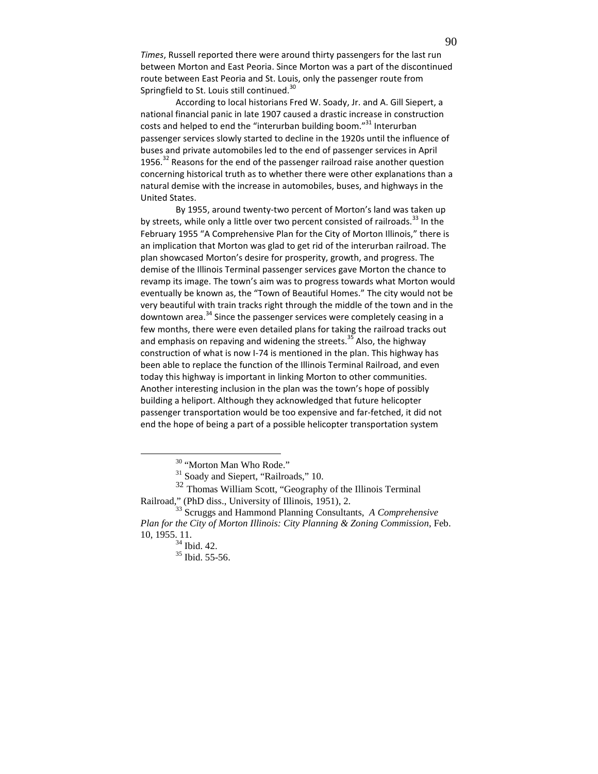Times, Russell reported there were around thirty passengers for the last run between Morton and East Peoria. Since Morton was a part of the discontinued route between East Peoria and St. Louis, only the passenger route from Springfield to St. Louis still continued.<sup>30</sup>

According to local historians Fred W. Soady, Jr. and A. Gill Siepert, a national financial panic in late 1907 caused a drastic increase in construction costs and helped to end the "interurban building boom."<sup>31</sup> Interurban passenger services slowly started to decline in the 1920s until the influence of buses and private automobiles led to the end of passenger services in April 1956. $32$  Reasons for the end of the passenger railroad raise another question concerning historical truth as to whether there were other explanations than a natural demise with the increase in automobiles, buses, and highways in the United States.

By 1955, around twenty-two percent of Morton's land was taken up by streets, while only a little over two percent consisted of railroads.<sup>33</sup> In the February 1955 "A Comprehensive Plan for the City of Morton Illinois," there is an implication that Morton was glad to get rid of the interurban railroad. The plan showcased Morton's desire for prosperity, growth, and progress. The demise of the Illinois Terminal passenger services gave Morton the chance to revamp its image. The town's aim was to progress towards what Morton would eventually be known as, the "Town of Beautiful Homes." The city would not be very beautiful with train tracks right through the middle of the town and in the downtown area.<sup>34</sup> Since the passenger services were completely ceasing in a few months, there were even detailed plans for taking the railroad tracks out and emphasis on repaving and widening the streets.<sup>35</sup> Also, the highway construction of what is now I-74 is mentioned in the plan. This highway has been able to replace the function of the Illinois Terminal Railroad, and even today this highway is important in linking Morton to other communities. Another interesting inclusion in the plan was the town's hope of possibly building a heliport. Although they acknowledged that future helicopter passenger transportation would be too expensive and far-fetched, it did not end the hope of being a part of a possible helicopter transportation system

<sup>32</sup> Thomas William Scott, "Geography of the Illinois Terminal Railroad," (PhD diss., University of Illinois, 1951), 2.

<sup>&</sup>lt;sup>30</sup> "Morton Man Who Rode."

<sup>&</sup>lt;sup>31</sup> Soady and Siepert, "Railroads," 10.

<sup>33</sup> Scruggs and Hammond Planning Consultants, *A Comprehensive Plan for the City of Morton Illinois: City Planning & Zoning Commission*, Feb. 10, 1955. 11.

<sup>34</sup> Ibid. 42.

<sup>35</sup> Ibid. 55-56.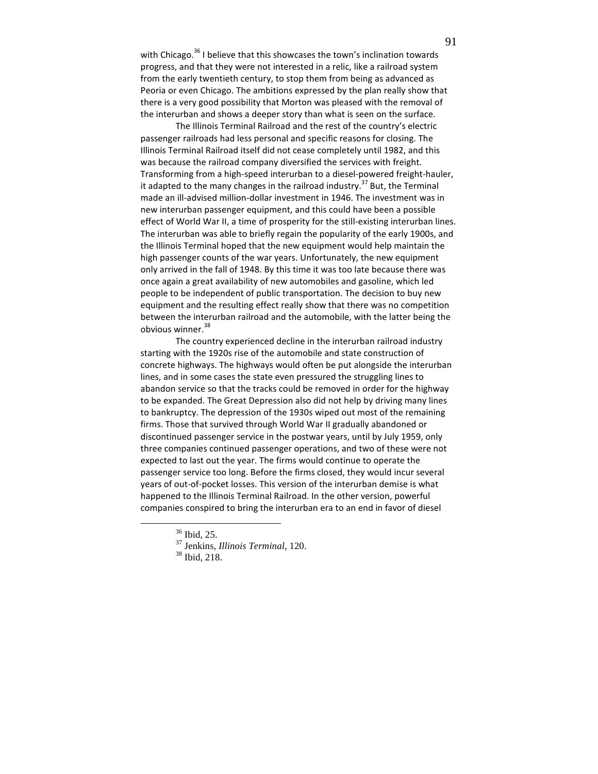with Chicago.<sup>36</sup> I believe that this showcases the town's inclination towards progress, and that they were not interested in a relic, like a railroad system from the early twentieth century, to stop them from being as advanced as Peoria or even Chicago. The ambitions expressed by the plan really show that there is a very good possibility that Morton was pleased with the removal of the interurban and shows a deeper story than what is seen on the surface.

The Illinois Terminal Railroad and the rest of the country's electric passenger railroads had less personal and specific reasons for closing. The Illinois Terminal Railroad itself did not cease completely until 1982, and this was because the railroad company diversified the services with freight. Transforming from a high-speed interurban to a diesel-powered freight-hauler, it adapted to the many changes in the railroad industry.<sup>37</sup> But, the Terminal made an ill-advised million-dollar investment in 1946. The investment was in new interurban passenger equipment, and this could have been a possible effect of World War II, a time of prosperity for the still-existing interurban lines. The interurban was able to briefly regain the popularity of the early 1900s, and the Illinois Terminal hoped that the new equipment would help maintain the high passenger counts of the war years. Unfortunately, the new equipment only arrived in the fall of 1948. By this time it was too late because there was once again a great availability of new automobiles and gasoline, which led people to be independent of public transportation. The decision to buy new equipment and the resulting effect really show that there was no competition between the interurban railroad and the automobile, with the latter being the obvious winner.<sup>38</sup>

The country experienced decline in the interurban railroad industry starting with the 1920s rise of the automobile and state construction of concrete highways. The highways would often be put alongside the interurban lines, and in some cases the state even pressured the struggling lines to abandon service so that the tracks could be removed in order for the highway to be expanded. The Great Depression also did not help by driving many lines to bankruptcy. The depression of the 1930s wiped out most of the remaining firms. Those that survived through World War II gradually abandoned or discontinued passenger service in the postwar years, until by July 1959, only three companies continued passenger operations, and two of these were not expected to last out the year. The firms would continue to operate the passenger service too long. Before the firms closed, they would incur several years of out-of-pocket losses. This version of the interurban demise is what happened to the Illinois Terminal Railroad. In the other version, powerful companies conspired to bring the interurban era to an end in favor of diesel

<sup>36</sup> Ibid, 25.

<sup>37</sup> Jenkins, *Illinois Terminal*, 120.

<sup>38</sup> Ibid, 218.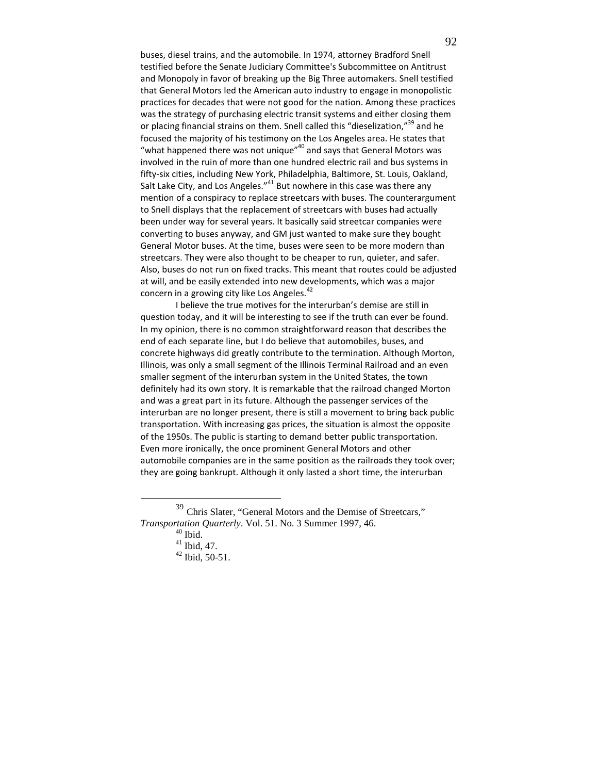buses, diesel trains, and the automobile. In 1974, attorney Bradford Snell testified before the Senate Judiciary Committee's Subcommittee on Antitrust and Monopoly in favor of breaking up the Big Three automakers. Snell testified that General Motors led the American auto industry to engage in monopolistic practices for decades that were not good for the nation. Among these practices was the strategy of purchasing electric transit systems and either closing them or placing financial strains on them. Snell called this "dieselization,"<sup>39</sup> and he focused the majority of his testimony on the Los Angeles area. He states that "what happened there was not unique" $^{40}$  and says that General Motors was involved in the ruin of more than one hundred electric rail and bus systems in fifty-six cities, including New York, Philadelphia, Baltimore, St. Louis, Oakland, Salt Lake City, and Los Angeles."<sup>41</sup> But nowhere in this case was there any mention of a conspiracy to replace streetcars with buses. The counterargument to Snell displays that the replacement of streetcars with buses had actually been under way for several years. It basically said streetcar companies were converting to buses anyway, and GM just wanted to make sure they bought General Motor buses. At the time, buses were seen to be more modern than streetcars. They were also thought to be cheaper to run, quieter, and safer. Also, buses do not run on fixed tracks. This meant that routes could be adjusted at will, and be easily extended into new developments, which was a major concern in a growing city like Los Angeles.<sup>42</sup>

 I believe the true motives for the interurban's demise are still in question today, and it will be interesting to see if the truth can ever be found. In my opinion, there is no common straightforward reason that describes the end of each separate line, but I do believe that automobiles, buses, and concrete highways did greatly contribute to the termination. Although Morton, Illinois, was only a small segment of the Illinois Terminal Railroad and an even smaller segment of the interurban system in the United States, the town definitely had its own story. It is remarkable that the railroad changed Morton and was a great part in its future. Although the passenger services of the interurban are no longer present, there is still a movement to bring back public transportation. With increasing gas prices, the situation is almost the opposite of the 1950s. The public is starting to demand better public transportation. Even more ironically, the once prominent General Motors and other automobile companies are in the same position as the railroads they took over; they are going bankrupt. Although it only lasted a short time, the interurban

<sup>39</sup> Chris Slater, "General Motors and the Demise of Streetcars," *Transportation Quarterly*. Vol. 51. No. 3 Summer 1997, 46.

 $^{40}$  Ibid.

 $41$  Ibid, 47.

<sup>42</sup> Ibid, 50-51.